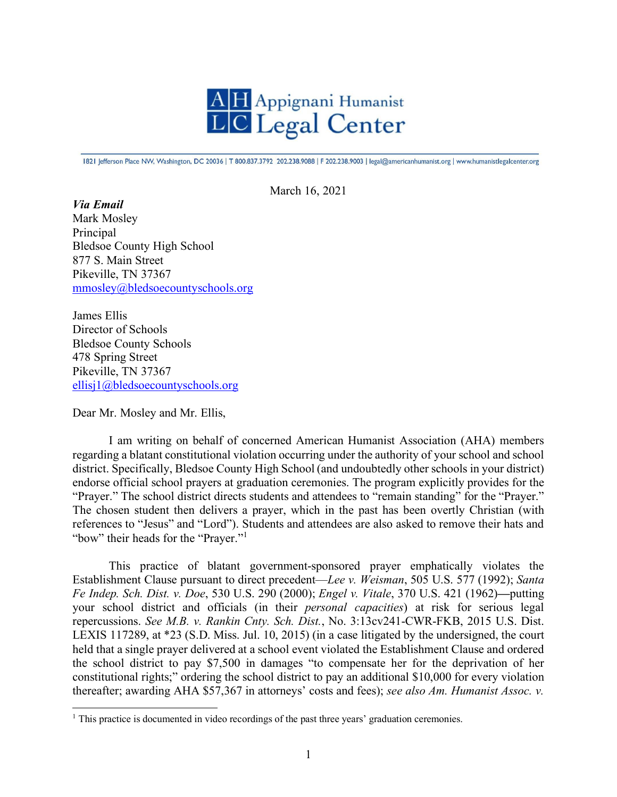

1821 Jefferson Place NW, Washington, DC 20036 | T 800.837.3792 202.238.9088 | F 202.238.9003 | legal@americanhumanist.org | www.humanistlegalcenter.org

March 16, 2021

*Via Email* Mark Mosley Principal Bledsoe County High School 877 S. Main Street Pikeville, TN 37367 [mmosley@bledsoecountyschools.org](mailto:mmosley@bledsoecountyschools.org)

James Ellis Director of Schools Bledsoe County Schools 478 Spring Street Pikeville, TN 37367 [ellisj1@bledsoecountyschools.org](mailto:ellisj1@bledsoecountyschools.org)

Dear Mr. Mosley and Mr. Ellis,

I am writing on behalf of concerned American Humanist Association (AHA) members regarding a blatant constitutional violation occurring under the authority of your school and school district. Specifically, Bledsoe County High School (and undoubtedly other schools in your district) endorse official school prayers at graduation ceremonies. The program explicitly provides for the "Prayer." The school district directs students and attendees to "remain standing" for the "Prayer." The chosen student then delivers a prayer, which in the past has been overtly Christian (with references to "Jesus" and "Lord"). Students and attendees are also asked to remove their hats and "bow" their heads for the "Prayer."[1](#page-0-0)

This practice of blatant government-sponsored prayer emphatically violates the Establishment Clause pursuant to direct precedent—*Lee v. Weisman*, 505 U.S. 577 (1992); *Santa Fe Indep. Sch. Dist. v. Doe*, 530 U.S. 290 (2000); *Engel v. Vitale*, 370 U.S. 421 (1962)**—**putting your school district and officials (in their *personal capacities*) at risk for serious legal repercussions. *See M.B. v. Rankin Cnty. Sch. Dist.*, No. 3:13cv241-CWR-FKB, 2015 U.S. Dist. LEXIS 117289, at \*23 (S.D. Miss. Jul. 10, 2015) (in a case litigated by the undersigned, the court held that a single prayer delivered at a school event violated the Establishment Clause and ordered the school district to pay \$7,500 in damages "to compensate her for the deprivation of her constitutional rights;" ordering the school district to pay an additional \$10,000 for every violation thereafter; awarding AHA \$57,367 in attorneys' costs and fees); *see also Am. Humanist Assoc. v.* 

<span id="page-0-0"></span><sup>&</sup>lt;sup>1</sup> This practice is documented in video recordings of the past three years' graduation ceremonies.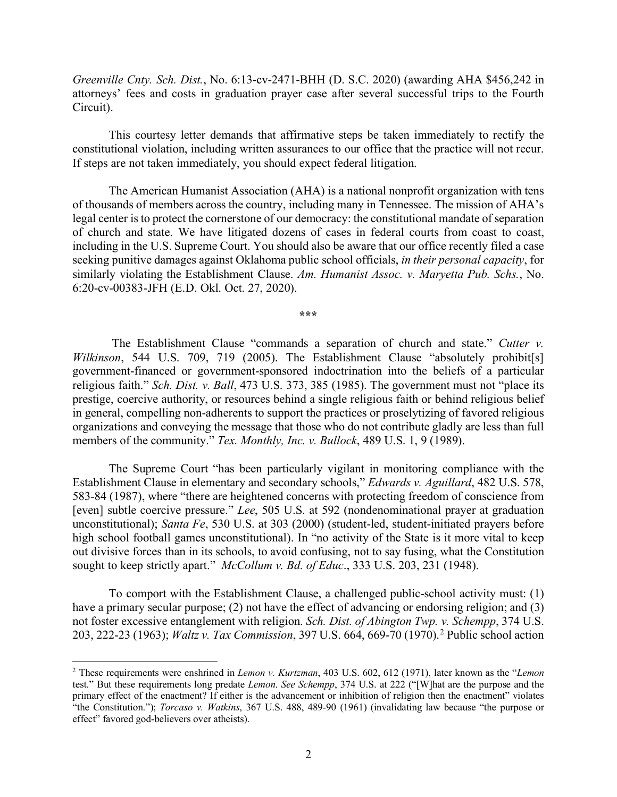*Greenville Cnty. Sch. Dist.*, No. 6:13-cv-2471-BHH (D. S.C. 2020) (awarding AHA \$456,242 in attorneys' fees and costs in graduation prayer case after several successful trips to the Fourth Circuit).

This courtesy letter demands that affirmative steps be taken immediately to rectify the constitutional violation, including written assurances to our office that the practice will not recur. If steps are not taken immediately, you should expect federal litigation.

The American Humanist Association (AHA) is a national nonprofit organization with tens of thousands of members across the country, including many in Tennessee. The mission of AHA's legal center is to protect the cornerstone of our democracy: the constitutional mandate of separation of church and state. We have litigated dozens of cases in federal courts from coast to coast, including in the U.S. Supreme Court. You should also be aware that our office recently filed a case seeking punitive damages against Oklahoma public school officials, *in their personal capacity*, for similarly violating the Establishment Clause. *Am. Humanist Assoc. v. Maryetta Pub. Schs.*, No. 6:20-cv-00383-JFH (E.D. Okl. Oct. 27, 2020).

**\*\*\***

The Establishment Clause "commands a separation of church and state." *Cutter v. Wilkinson*, 544 U.S. 709, 719 (2005). The Establishment Clause "absolutely prohibit[s] government-financed or government-sponsored indoctrination into the beliefs of a particular religious faith." *Sch. Dist. v. Ball*, 473 U.S. 373, 385 (1985). The government must not "place its prestige, coercive authority, or resources behind a single religious faith or behind religious belief in general, compelling non-adherents to support the practices or proselytizing of favored religious organizations and conveying the message that those who do not contribute gladly are less than full members of the community." *Tex. Monthly, Inc. v. Bullock*, 489 U.S. 1, 9 (1989).

The Supreme Court "has been particularly vigilant in monitoring compliance with the Establishment Clause in elementary and secondary schools," *Edwards v. Aguillard*, 482 U.S. 578, 583-84 (1987), where "there are heightened concerns with protecting freedom of conscience from [even] subtle coercive pressure." *Lee*, 505 U.S. at 592 (nondenominational prayer at graduation unconstitutional); *Santa Fe*, 530 U.S. at 303 (2000) (student-led, student-initiated prayers before high school football games unconstitutional). In "no activity of the State is it more vital to keep out divisive forces than in its schools, to avoid confusing, not to say fusing, what the Constitution sought to keep strictly apart." *McCollum v. Bd. of Educ*., 333 U.S. 203, 231 (1948).

To comport with the Establishment Clause, a challenged public-school activity must: (1) have a primary secular purpose; (2) not have the effect of advancing or endorsing religion; and (3) not foster excessive entanglement with religion. *Sch. Dist. of Abington Twp. v. Schempp*, 374 U.S. 203, 222-23 (1963); *Waltz v. Tax Commission*, 397 U.S. 664, 669-70 (1970).[2](#page-1-0) Public school action

<span id="page-1-0"></span><sup>2</sup> These requirements were enshrined in *Lemon v. Kurtzman*, 403 U.S. 602, 612 (1971), later known as the "*Lemon*  test." But these requirements long predate *Lemon*. *See Schempp*, 374 U.S. at 222 ("[W]hat are the purpose and the primary effect of the enactment? If either is the advancement or inhibition of religion then the enactment" violates "the Constitution."); *Torcaso v. Watkins*, 367 U.S. 488, 489-90 (1961) (invalidating law because "the purpose or effect" favored god-believers over atheists).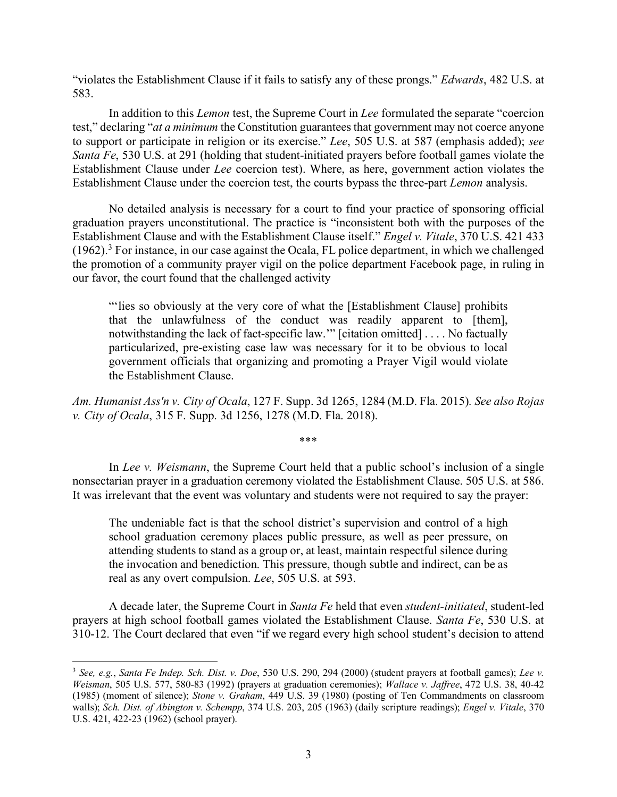"violates the Establishment Clause if it fails to satisfy any of these prongs." *Edwards*, 482 U.S. at 583.

In addition to this *Lemon* test, the Supreme Court in *Lee* formulated the separate "coercion test," declaring "*at a minimum* the Constitution guarantees that government may not coerce anyone to support or participate in religion or its exercise." *Lee*, 505 U.S. at 587 (emphasis added); *see Santa Fe*, 530 U.S. at 291 (holding that student-initiated prayers before football games violate the Establishment Clause under *Lee* coercion test). Where, as here, government action violates the Establishment Clause under the coercion test, the courts bypass the three-part *Lemon* analysis.

No detailed analysis is necessary for a court to find your practice of sponsoring official graduation prayers unconstitutional. The practice is "inconsistent both with the purposes of the Establishment Clause and with the Establishment Clause itself." *Engel v. Vitale*, 370 U.S. 421 433  $(1962).$ <sup>[3](#page-2-0)</sup> For instance, in our case against the Ocala, FL police department, in which we challenged the promotion of a community prayer vigil on the police department Facebook page, in ruling in our favor, the court found that the challenged activity

"'lies so obviously at the very core of what the [Establishment Clause] prohibits that the unlawfulness of the conduct was readily apparent to [them], notwithstanding the lack of fact-specific law.'" [citation omitted] . . . . No factually particularized, pre-existing case law was necessary for it to be obvious to local government officials that organizing and promoting a Prayer Vigil would violate the Establishment Clause.

*Am. Humanist Ass'n v. City of Ocala*, 127 F. Supp. 3d 1265, 1284 (M.D. Fla. 2015)*. See also Rojas v. City of Ocala*, 315 F. Supp. 3d 1256, 1278 (M.D. Fla. 2018).

\*\*\*

In *Lee v. Weismann*, the Supreme Court held that a public school's inclusion of a single nonsectarian prayer in a graduation ceremony violated the Establishment Clause. 505 U.S. at 586. It was irrelevant that the event was voluntary and students were not required to say the prayer:

The undeniable fact is that the school district's supervision and control of a high school graduation ceremony places public pressure, as well as peer pressure, on attending students to stand as a group or, at least, maintain respectful silence during the invocation and benediction. This pressure, though subtle and indirect, can be as real as any overt compulsion. *Lee*, 505 U.S. at 593.

A decade later, the Supreme Court in *Santa Fe* held that even *student-initiated*, student-led prayers at high school football games violated the Establishment Clause. *Santa Fe*, 530 U.S. at 310-12. The Court declared that even "if we regard every high school student's decision to attend

<span id="page-2-0"></span><sup>3</sup> *See, e.g.*, *Santa Fe Indep. Sch. Dist. v. Doe*, 530 U.S. 290, 294 (2000) (student prayers at football games); *Lee v. Weisman*, 505 U.S. 577, 580-83 (1992) (prayers at graduation ceremonies); *Wallace v. Jaffree*, 472 U.S. 38, 40-42 (1985) (moment of silence); *Stone v. Graham*, 449 U.S. 39 (1980) (posting of Ten Commandments on classroom walls); *Sch. Dist. of Abington v. Schempp*, 374 U.S. 203, 205 (1963) (daily scripture readings); *Engel v. Vitale*, 370 U.S. 421, 422-23 (1962) (school prayer).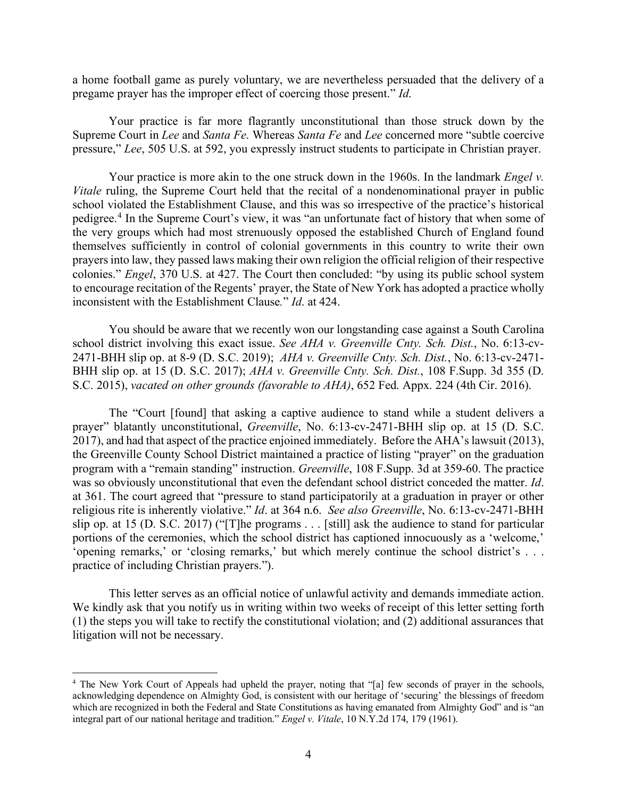a home football game as purely voluntary, we are nevertheless persuaded that the delivery of a pregame prayer has the improper effect of coercing those present." *Id*.

Your practice is far more flagrantly unconstitutional than those struck down by the Supreme Court in *Lee* and *Santa Fe*. Whereas *Santa Fe* and *Lee* concerned more "subtle coercive pressure," *Lee*, 505 U.S. at 592, you expressly instruct students to participate in Christian prayer.

Your practice is more akin to the one struck down in the 1960s. In the landmark *Engel v. Vitale* ruling, the Supreme Court held that the recital of a nondenominational prayer in public school violated the Establishment Clause, and this was so irrespective of the practice's historical pedigree. [4](#page-3-0) In the Supreme Court's view, it was "an unfortunate fact of history that when some of the very groups which had most strenuously opposed the established Church of England found themselves sufficiently in control of colonial governments in this country to write their own prayers into law, they passed laws making their own religion the official religion of their respective colonies." *Engel*, 370 U.S. at 427. The Court then concluded: "by using its public school system to encourage recitation of the Regents' prayer, the State of New York has adopted a practice wholly inconsistent with the Establishment Clause*.*" *Id*. at 424.

You should be aware that we recently won our longstanding case against a South Carolina school district involving this exact issue. *See AHA v. Greenville Cnty. Sch. Dist.*, No. 6:13-cv-2471-BHH slip op. at 8-9 (D. S.C. 2019); *AHA v. Greenville Cnty. Sch. Dist.*, No. 6:13-cv-2471- BHH slip op. at 15 (D. S.C. 2017); *AHA v. Greenville Cnty. Sch. Dist.*, 108 F.Supp. 3d 355 (D. S.C. 2015), *vacated on other grounds (favorable to AHA)*, 652 Fed. Appx. 224 (4th Cir. 2016).

The "Court [found] that asking a captive audience to stand while a student delivers a prayer" blatantly unconstitutional, *Greenville*, No. 6:13-cv-2471-BHH slip op. at 15 (D. S.C. 2017), and had that aspect of the practice enjoined immediately. Before the AHA's lawsuit (2013), the Greenville County School District maintained a practice of listing "prayer" on the graduation program with a "remain standing" instruction. *Greenville*, 108 F.Supp. 3d at 359-60. The practice was so obviously unconstitutional that even the defendant school district conceded the matter. *Id*. at 361. The court agreed that "pressure to stand participatorily at a graduation in prayer or other religious rite is inherently violative." *Id*. at 364 n.6. *See also Greenville*, No. 6:13-cv-2471-BHH slip op. at 15 (D. S.C. 2017) ("[T]he programs . . . [still] ask the audience to stand for particular portions of the ceremonies, which the school district has captioned innocuously as a 'welcome,' 'opening remarks,' or 'closing remarks,' but which merely continue the school district's . . . practice of including Christian prayers.").

This letter serves as an official notice of unlawful activity and demands immediate action. We kindly ask that you notify us in writing within two weeks of receipt of this letter setting forth (1) the steps you will take to rectify the constitutional violation; and (2) additional assurances that litigation will not be necessary.

<span id="page-3-0"></span><sup>&</sup>lt;sup>4</sup> The New York Court of Appeals had upheld the prayer, noting that "[a] few seconds of prayer in the schools, acknowledging dependence on Almighty God, is consistent with our heritage of 'securing' the blessings of freedom which are recognized in both the Federal and State Constitutions as having emanated from Almighty God" and is "an integral part of our national heritage and tradition." *Engel v. Vitale*, 10 N.Y.2d 174, 179 (1961).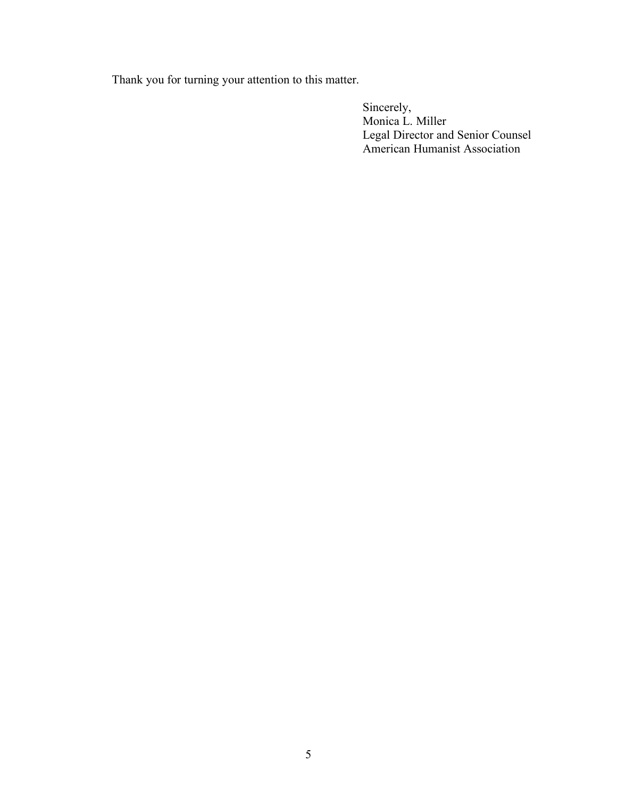Thank you for turning your attention to this matter.

Sincerely, Monica L. Miller Legal Director and Senior Counsel American Humanist Association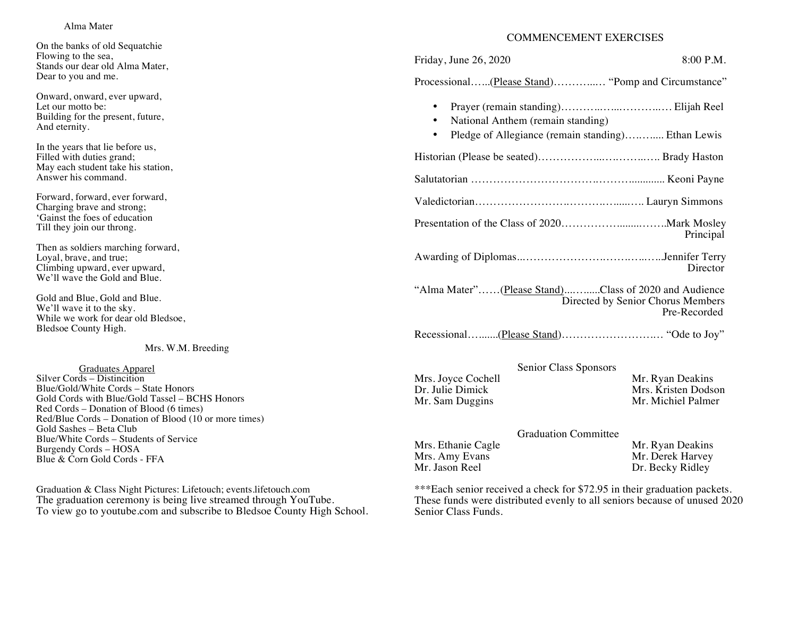## Alma Mater

On the banks of old Sequatchie Flowing to the sea, Stands our dear old Alma Mater, Dear to you and me.

Onward, onward, ever upward, Let our motto be: Building for the present, future, And eternity.

In the years that lie before us, Filled with duties grand; May each student take his station, Answer his command.

Forward, forward, ever forward, Charging brave and strong; 'Gainst the foes of education Till they join our throng.

Then as soldiers marching forward, Loyal, brave, and true; Climbing upward, ever upward, We'll wave the Gold and Blue.

Gold and Blue, Gold and Blue. We'll wave it to the sky. While we work for dear old Bledsoe, Bledsoe County High.

Mrs. W.M. Breeding

 Graduates Apparel Silver Cords – Distincition Blue/Gold/White Cords – State Honors Gold Cords with Blue/Gold Tassel – BCHS Honors Red Cords – Donation of Blood (6 times) Red/Blue Cords – Donation of Blood (10 or more times) Gold Sashes – Beta Club Blue/White Cords – Students of Service Burgendy Cords – HOSA Blue & Corn Gold Cords - FFA

Graduation & Class Night Pictures: Lifetouch; events.lifetouch.com The graduation ceremony is being live streamed through YouTube. To view go to youtube.com and subscribe to Bledsoe County High School.

## COMMENCEMENT EXERCISES

Friday, June 26, 2020 8:00 P.M.

Processional…...(Please Stand)………...… "Pomp and Circumstance"

- Prayer (remain standing)………..…...………..…. Elijah Reel
- National Anthem (remain standing)
- Pledge of Allegiance (remain standing)............ Ethan Lewis

Historian (Please be seated)……………...….……..….. Brady Haston

- Salutatorian …………………………….………............. Keoni Payne Valedictorian…………………….……….….....….. Lauryn Simmons
- Presentation of the Class of 2020……………........……..Mark Mosley Principal
- Awarding of Diplomas..………………….…….…..…...Jennifer Terry **Director**

"Alma Mater"……(Please Stand)...…......Class of 2020 and Audience Directed by Senior Chorus Members Pre-Recorded

Recessional….......(Please Stand)…………………….… "Ode to Joy"

|                    | Senior Class Sponsors |                     |
|--------------------|-----------------------|---------------------|
| Mrs. Joyce Cochell |                       | Mr. Ryan Deakins    |
| Dr. Julie Dimick   |                       | Mrs. Kristen Dodson |
| Mr. Sam Duggins    |                       | Mr. Michiel Palmer  |
|                    |                       |                     |

|                    | <b>Graduation Committee</b> |                  |
|--------------------|-----------------------------|------------------|
| Mrs. Ethanie Cagle |                             | Mr. Ryan Deakins |
| Mrs. Amy Evans     |                             | Mr. Derek Harvey |
| Mr. Jason Reel     |                             | Dr. Becky Ridley |

\*\*\*Each senior received a check for \$72.95 in their graduation packets. These funds were distributed evenly to all seniors because of unused 2020 Senior Class Funds.